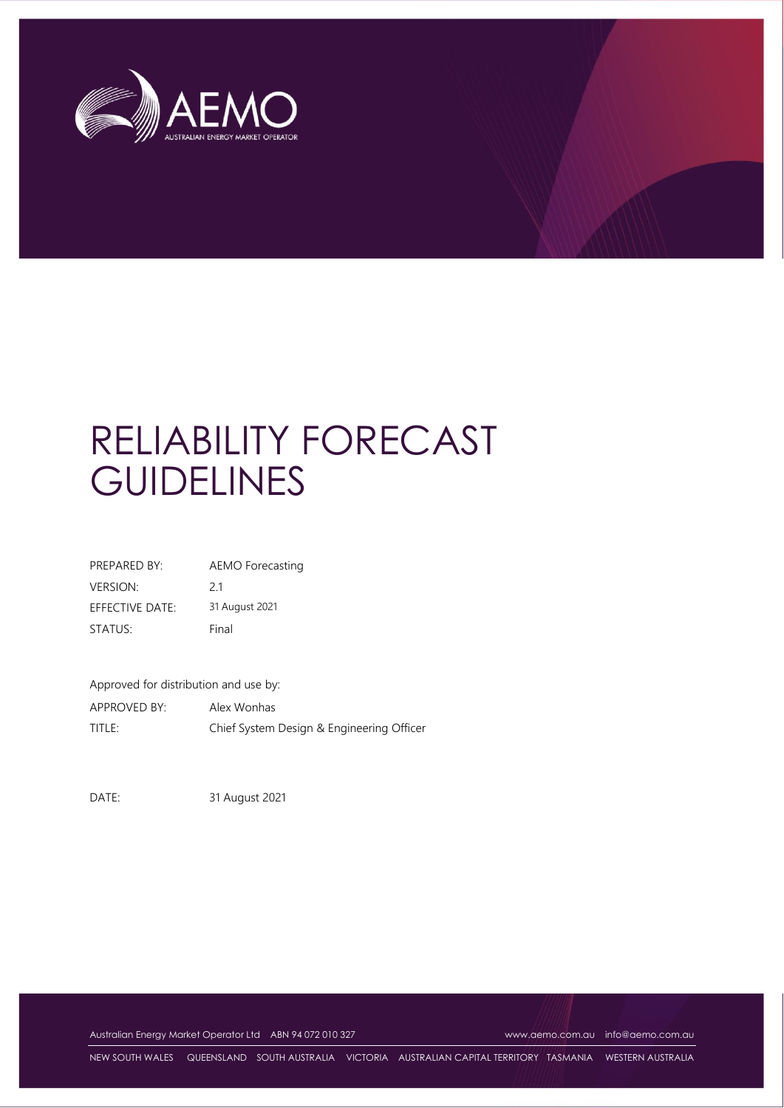

# RELIABILITY FORECAST **GUIDELINES**

| PREPARED BY:    | AEMO Forecasting |
|-----------------|------------------|
| <b>VERSION:</b> | 21               |
| EFFECTIVE DATE: | 31 August 2021   |
| STATUS:         | Final            |

Approved for distribution and use by:

APPROVED BY: Alex Wonhas TITLE: Chief System Design & Engineering Officer

DATE: 31 August 2021

Australian Energy Market Operator Ltd ABN 94 072 010 327 [www.aemo.com.au](http://www.aemo.com.au/) [info@aemo.com.au](mailto:info@aemo.com.au)

NEW SOUTH WALES QUEENSLAND SOUTH AUSTRALIA VICTORIA AUSTRALIAN CAPITAL TERRITORY TASMANIA WESTERN AUSTRALIA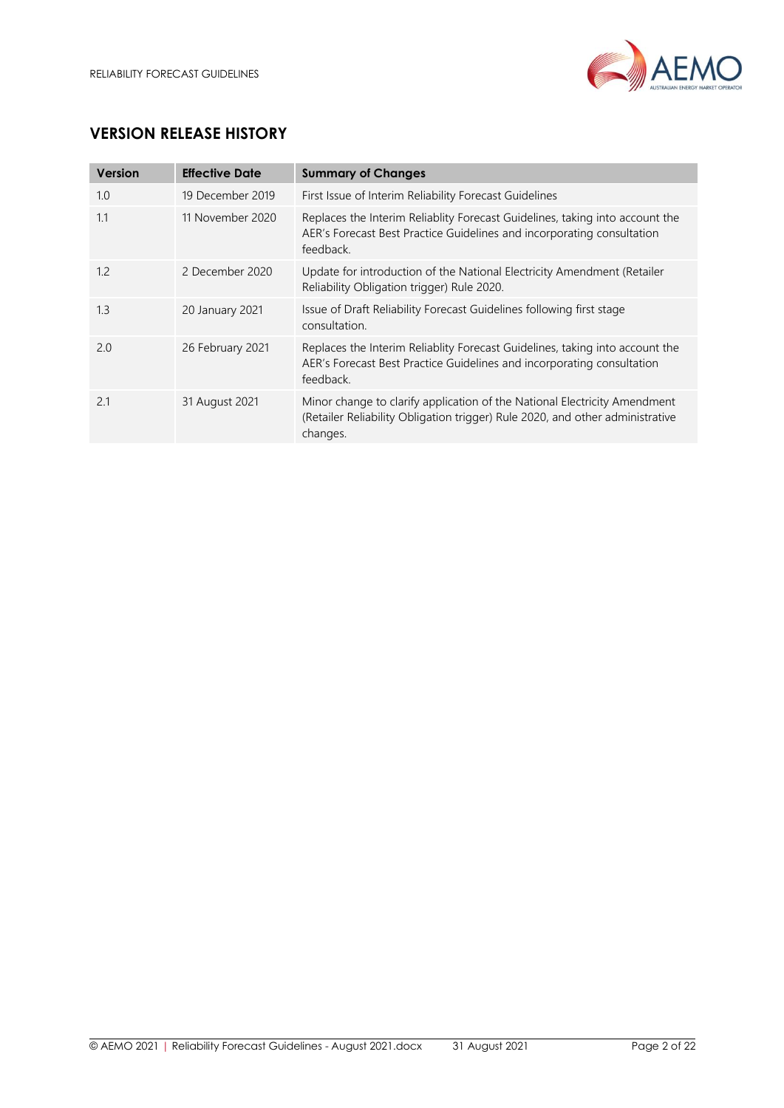

# **VERSION RELEASE HISTORY**

| <b>Version</b> | <b>Effective Date</b> | <b>Summary of Changes</b>                                                                                                                                              |
|----------------|-----------------------|------------------------------------------------------------------------------------------------------------------------------------------------------------------------|
| 1.0            | 19 December 2019      | First Issue of Interim Reliability Forecast Guidelines                                                                                                                 |
| 1.1            | 11 November 2020      | Replaces the Interim Reliablity Forecast Guidelines, taking into account the<br>AER's Forecast Best Practice Guidelines and incorporating consultation<br>feedback.    |
| 1.2            | 2 December 2020       | Update for introduction of the National Electricity Amendment (Retailer<br>Reliability Obligation trigger) Rule 2020.                                                  |
| 1.3            | 20 January 2021       | Issue of Draft Reliability Forecast Guidelines following first stage<br>consultation.                                                                                  |
| 2.0            | 26 February 2021      | Replaces the Interim Reliablity Forecast Guidelines, taking into account the<br>AER's Forecast Best Practice Guidelines and incorporating consultation<br>feedback.    |
| 2.1            | 31 August 2021        | Minor change to clarify application of the National Electricity Amendment<br>(Retailer Reliability Obligation trigger) Rule 2020, and other administrative<br>changes. |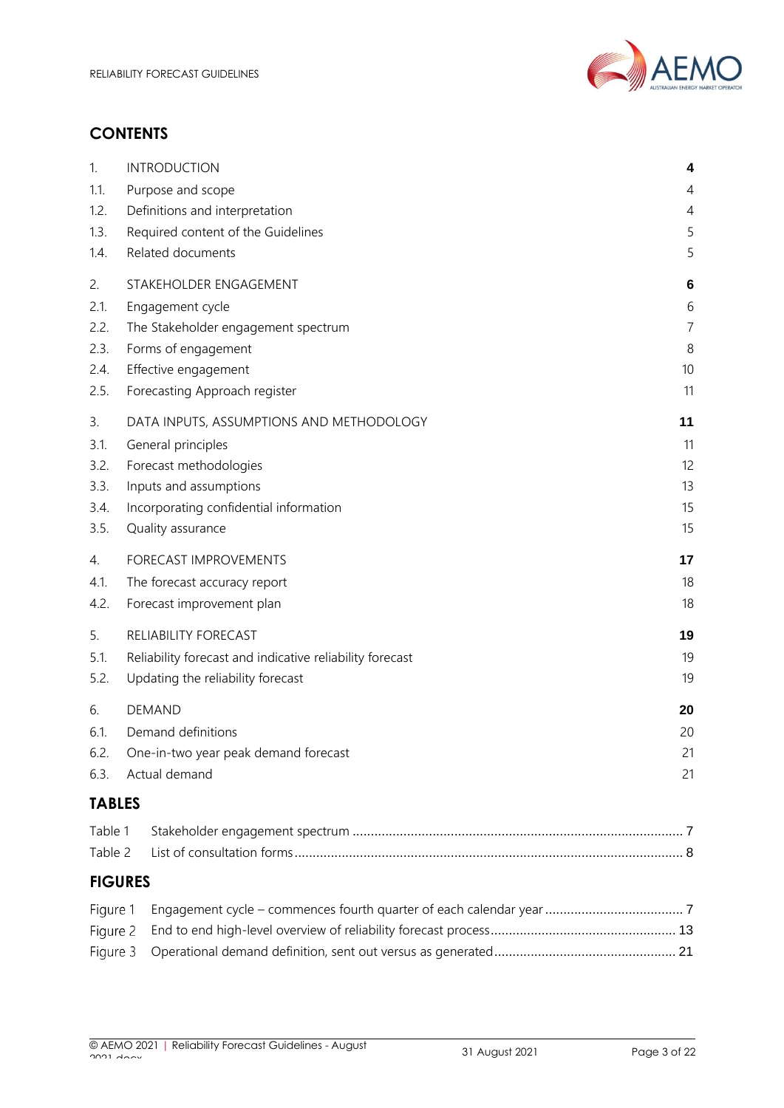

# **CONTENTS**

| 1.            | <b>INTRODUCTION</b>                                      | 4              |
|---------------|----------------------------------------------------------|----------------|
| 1.1.          | Purpose and scope                                        | 4              |
| 1.2.          | Definitions and interpretation                           |                |
| 1.3.          | Required content of the Guidelines                       |                |
| 1.4.          | Related documents                                        | 5              |
| 2.            | STAKEHOLDER ENGAGEMENT                                   | 6              |
| 2.1.          | Engagement cycle                                         | 6              |
| 2.2.          | The Stakeholder engagement spectrum                      | $\overline{7}$ |
| 2.3.          | Forms of engagement                                      | 8              |
| 2.4.          | Effective engagement                                     | 10             |
| 2.5.          | Forecasting Approach register                            | 11             |
| 3.            | DATA INPUTS, ASSUMPTIONS AND METHODOLOGY                 | 11             |
| 3.1.          | General principles                                       | 11             |
| 3.2.          | Forecast methodologies                                   | 12             |
| 3.3.          | Inputs and assumptions                                   | 13             |
| 3.4.          | Incorporating confidential information                   | 15             |
| 3.5.          | Quality assurance                                        | 15             |
| 4.            | FORECAST IMPROVEMENTS                                    | 17             |
| 4.1.          | The forecast accuracy report                             |                |
| 4.2.          | Forecast improvement plan                                | 18             |
| 5.            | RELIABILITY FORECAST                                     | 19             |
| 5.1.          | Reliability forecast and indicative reliability forecast | 19             |
| 5.2.          | Updating the reliability forecast                        | 19             |
| 6.            | <b>DEMAND</b>                                            | 20             |
| 6.1.          | Demand definitions                                       |                |
| 6.2.          | One-in-two year peak demand forecast                     | 21             |
| 6.3.          | Actual demand                                            | 21             |
| <b>TABLES</b> |                                                          |                |
| Table 1       |                                                          |                |
| Table 2       |                                                          |                |
|               | <b>FIGURES</b>                                           |                |
| Figure 1      |                                                          |                |
| Figure 2      |                                                          |                |
| Figure 3      |                                                          |                |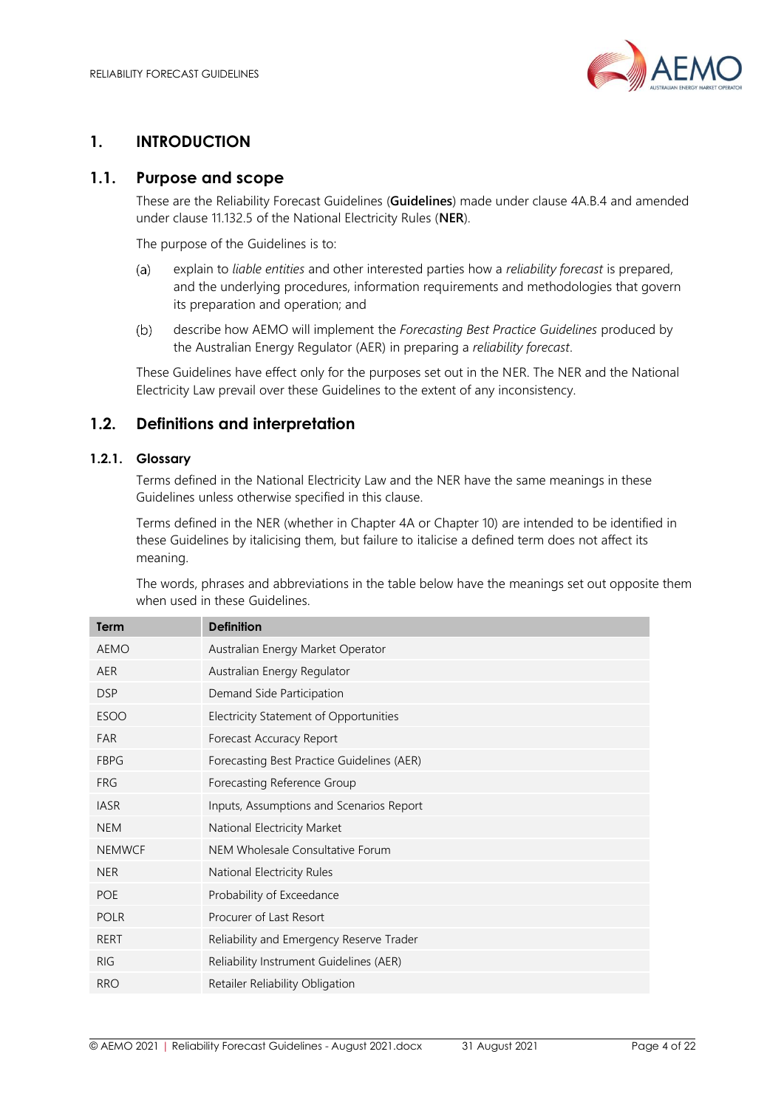

# <span id="page-3-0"></span>**1. INTRODUCTION**

# <span id="page-3-1"></span>**1.1. Purpose and scope**

These are the Reliability Forecast Guidelines (**Guidelines**) made under clause 4A.B.4 and amended under clause 11.132.5 of the National Electricity Rules (**NER**).

The purpose of the Guidelines is to:

- explain to *liable entities* and other interested parties how a *reliability forecast* is prepared,  $(a)$ and the underlying procedures, information requirements and methodologies that govern its preparation and operation; and
- $(b)$ describe how AEMO will implement the *Forecasting Best Practice Guidelines* produced by the Australian Energy Regulator (AER) in preparing a *reliability forecast*.

These Guidelines have effect only for the purposes set out in the NER. The NER and the National Electricity Law prevail over these Guidelines to the extent of any inconsistency.

# <span id="page-3-2"></span>**1.2. Definitions and interpretation**

#### **1.2.1. Glossary**

Terms defined in the National Electricity Law and the NER have the same meanings in these Guidelines unless otherwise specified in this clause.

Terms defined in the NER (whether in Chapter 4A or Chapter 10) are intended to be identified in these Guidelines by italicising them, but failure to italicise a defined term does not affect its meaning.

The words, phrases and abbreviations in the table below have the meanings set out opposite them when used in these Guidelines.

| <b>Term</b>   | <b>Definition</b>                          |
|---------------|--------------------------------------------|
| <b>AEMO</b>   | Australian Energy Market Operator          |
| <b>AER</b>    | Australian Energy Regulator                |
| <b>DSP</b>    | Demand Side Participation                  |
| <b>ESOO</b>   | Electricity Statement of Opportunities     |
| <b>FAR</b>    | Forecast Accuracy Report                   |
| <b>FBPG</b>   | Forecasting Best Practice Guidelines (AER) |
| <b>FRG</b>    | Forecasting Reference Group                |
| <b>IASR</b>   | Inputs, Assumptions and Scenarios Report   |
| <b>NEM</b>    | National Electricity Market                |
| <b>NEMWCF</b> | NEM Wholesale Consultative Forum           |
| <b>NER</b>    | National Electricity Rules                 |
| <b>POE</b>    | Probability of Exceedance                  |
| <b>POLR</b>   | Procurer of Last Resort                    |
| RERT          | Reliability and Emergency Reserve Trader   |
| <b>RIG</b>    | Reliability Instrument Guidelines (AER)    |
| <b>RRO</b>    | Retailer Reliability Obligation            |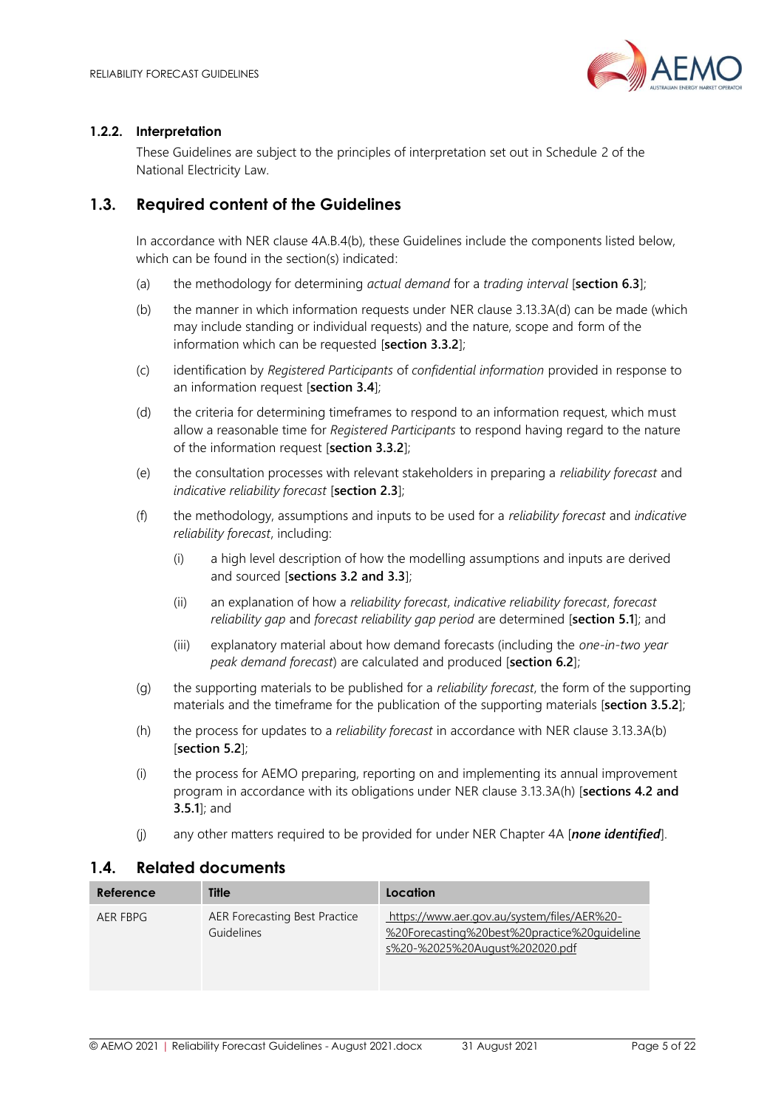

#### **1.2.2. Interpretation**

These Guidelines are subject to the principles of interpretation set out in Schedule 2 of the National Electricity Law.

# <span id="page-4-0"></span>**1.3. Required content of the Guidelines**

In accordance with NER clause 4A.B.4(b), these Guidelines include the components listed below, which can be found in the section(s) indicated:

- (a) the methodology for determining *actual demand* for a *trading interval* [**section [6.3](#page-20-1)**];
- (b) the manner in which information requests under NER clause 3.13.3A(d) can be made (which may include standing or individual requests) and the nature, scope and form of the information which can be requested [**section [3.3.2](#page-13-0)**];
- (c) identification by *Registered Participants* of *confidential information* provided in response to an information request [**sectio[n 3.4](#page-14-0)**];
- (d) the criteria for determining timeframes to respond to an information request, which must allow a reasonable time for *Registered Participants* to respond having regard to the nature of the information request [**section [3.3.2](#page-13-0)**];
- (e) the consultation processes with relevant stakeholders in preparing a *reliability forecast* and *indicative reliability forecast* [**section [2.3](#page-7-0)**];
- (f) the methodology, assumptions and inputs to be used for a *reliability forecast* and *indicative reliability forecast*, including:
	- (i) a high level description of how the modelling assumptions and inputs are derived and sourced [**sections [3.2](#page-11-0) and [3.3](#page-12-0)**];
	- (ii) an explanation of how a *reliability forecast*, *indicative reliability forecast*, *forecast reliability gap* and *forecast reliability gap period* are determined [**section [5.1](#page-18-1)**]; and
	- (iii) explanatory material about how demand forecasts (including the *one-in-two year peak demand forecast*) are calculated and produced [**section [6.2](#page-20-0)**];
- (g) the supporting materials to be published for a *reliability forecast*, the form of the supporting materials and the timeframe for the publication of the supporting materials [**section [3.5.2](#page-15-0)**];
- (h) the process for updates to a *reliability forecast* in accordance with NER clause 3.13.3A(b) [**section [5.2](#page-18-2)**];
- (i) the process for AEMO preparing, reporting on and implementing its annual improvement program in accordance with its obligations under NER clause 3.13.3A(h) [**sections [4.2](#page-17-1) and [3.5.1](#page-15-1)**]; and
- (j) any other matters required to be provided for under NER Chapter 4A [*none identified*].

#### <span id="page-4-1"></span>**1.4. Related documents**

| Reference | <b>Title</b>                                | Location                                                                                                                      |
|-----------|---------------------------------------------|-------------------------------------------------------------------------------------------------------------------------------|
| AER FBPG  | AER Forecasting Best Practice<br>Guidelines | https://www.aer.gov.au/system/files/AER%20-<br>%20Forecasting%20best%20practice%20quideline<br>s%20-%2025%20August%202020.pdf |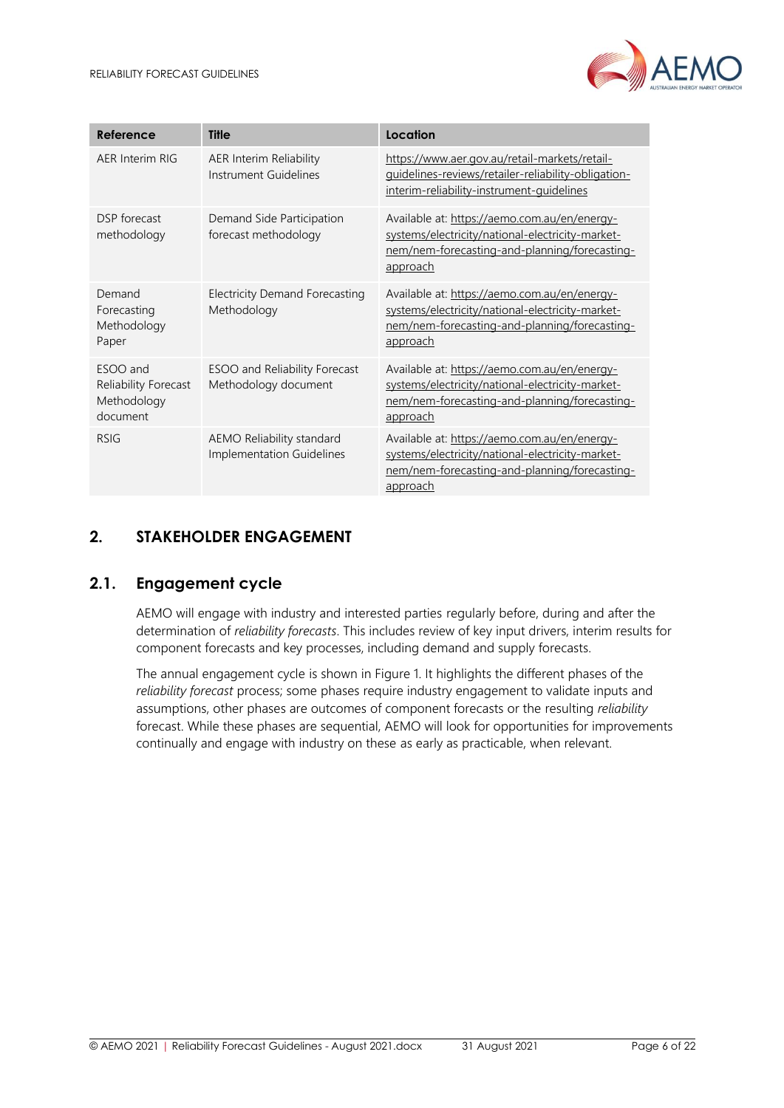

| Reference                                                   | <b>Title</b>                                           | Location                                                                                                                                                             |
|-------------------------------------------------------------|--------------------------------------------------------|----------------------------------------------------------------------------------------------------------------------------------------------------------------------|
| AER Interim RIG                                             | AER Interim Reliability<br>Instrument Guidelines       | https://www.aer.gov.au/retail-markets/retail-<br>guidelines-reviews/retailer-reliability-obligation-<br>interim-reliability-instrument-guidelines                    |
| DSP forecast<br>methodology                                 | Demand Side Participation<br>forecast methodology      | Available at: https://aemo.com.au/en/energy-<br>systems/electricity/national-electricity-market-<br>nem/nem-forecasting-and-planning/forecasting-<br>approach        |
| Demand<br>Forecasting<br>Methodology<br>Paper               | <b>Electricity Demand Forecasting</b><br>Methodology   | Available at: https://aemo.com.au/en/energy-<br>systems/electricity/national-electricity-market-<br>nem/nem-forecasting-and-planning/forecasting-<br><u>approach</u> |
| ESOO and<br>Reliability Forecast<br>Methodology<br>document | ESOO and Reliability Forecast<br>Methodology document  | Available at: https://aemo.com.au/en/energy-<br>systems/electricity/national-electricity-market-<br>nem/nem-forecasting-and-planning/forecasting-<br><u>approach</u> |
| <b>RSIG</b>                                                 | AEMO Reliability standard<br>Implementation Guidelines | Available at: https://aemo.com.au/en/energy-<br>systems/electricity/national-electricity-market-<br>nem/nem-forecasting-and-planning/forecasting-<br>approach        |

# <span id="page-5-0"></span>**2. STAKEHOLDER ENGAGEMENT**

# <span id="page-5-1"></span>**2.1. Engagement cycle**

AEMO will engage with industry and interested parties regularly before, during and after the determination of *reliability forecasts*. This includes review of key input drivers, interim results for component forecasts and key processes, including demand and supply forecasts.

The annual engagement cycle is shown i[n Figure 1.](#page-6-2) It highlights the different phases of the *reliability forecast* process; some phases require industry engagement to validate inputs and assumptions, other phases are outcomes of component forecasts or the resulting *reliability* forecast. While these phases are sequential, AEMO will look for opportunities for improvements continually and engage with industry on these as early as practicable, when relevant.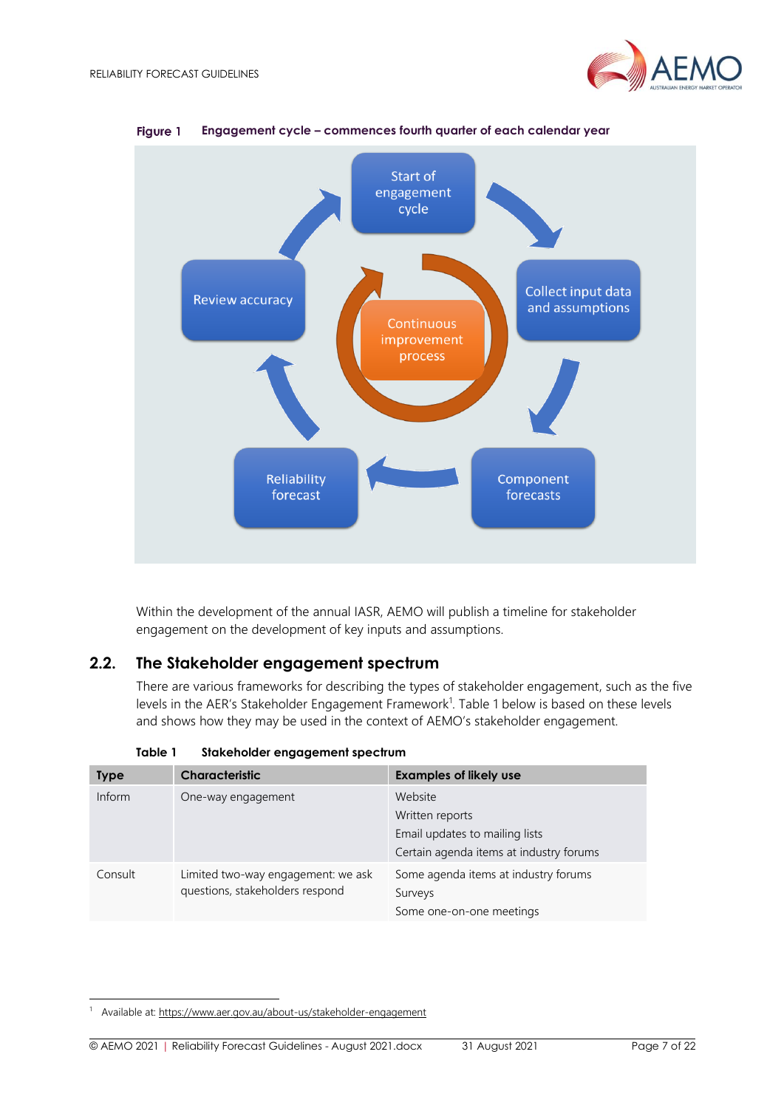



<span id="page-6-2"></span>Figure 1 **Engagement cycle – commences fourth quarter of each calendar year**

Within the development of the annual IASR, AEMO will publish a timeline for stakeholder engagement on the development of key inputs and assumptions.

# <span id="page-6-0"></span>**2.2. The Stakeholder engagement spectrum**

There are various frameworks for describing the types of stakeholder engagement, such as the five levels in the AER's Stakeholder Engagement Framework<sup>1</sup>. [Table 1](#page-6-1) below is based on these levels and shows how they may be used in the context of AEMO's stakeholder engagement.

<span id="page-6-1"></span>

| <b>Type</b> | <b>Characteristic</b>                                                 | <b>Examples of likely use</b>                                                                           |
|-------------|-----------------------------------------------------------------------|---------------------------------------------------------------------------------------------------------|
| Inform      | One-way engagement                                                    | Website<br>Written reports<br>Email updates to mailing lists<br>Certain agenda items at industry forums |
| Consult     | Limited two-way engagement: we ask<br>questions, stakeholders respond | Some agenda items at industry forums<br>Surveys<br>Some one-on-one meetings                             |

**Table 1 Stakeholder engagement spectrum**

Available at[: https://www.aer.gov.au/about-us/stakeholder-engagement](https://www.aer.gov.au/about-us/stakeholder-engagement)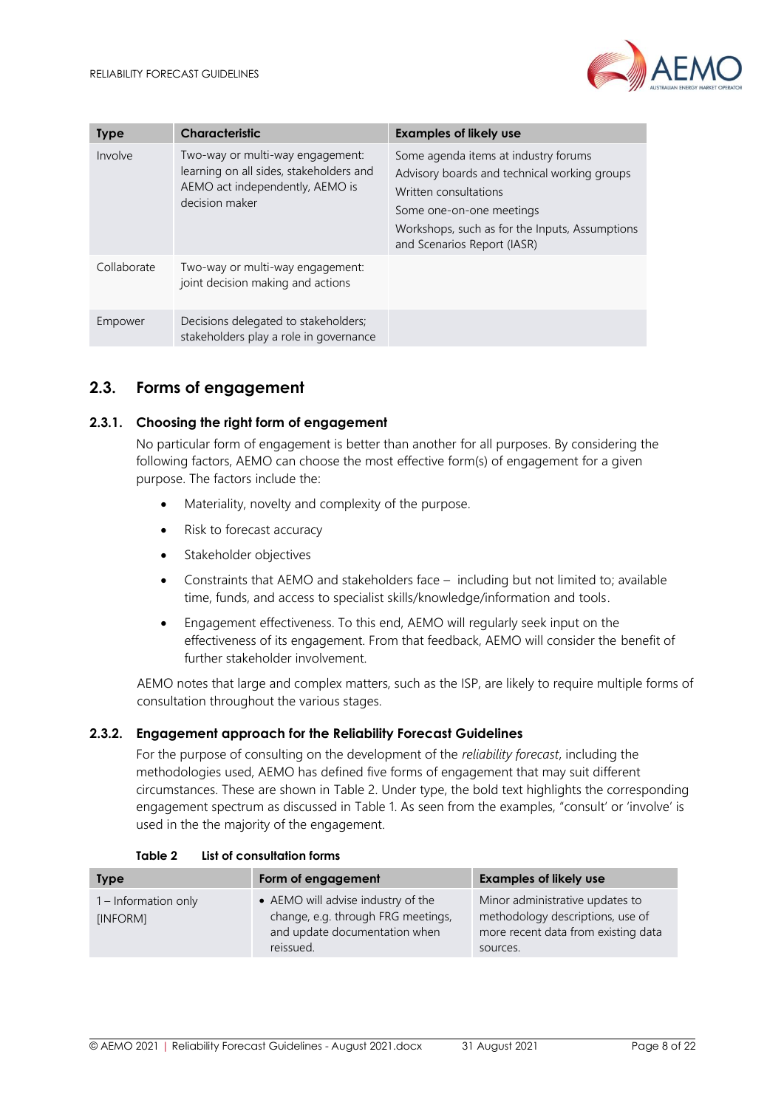

| <b>Type</b> | <b>Characteristic</b>                                                                                                            | <b>Examples of likely use</b>                                                                                                                                                                                              |
|-------------|----------------------------------------------------------------------------------------------------------------------------------|----------------------------------------------------------------------------------------------------------------------------------------------------------------------------------------------------------------------------|
| Involve     | Two-way or multi-way engagement:<br>learning on all sides, stakeholders and<br>AEMO act independently, AEMO is<br>decision maker | Some agenda items at industry forums<br>Advisory boards and technical working groups<br>Written consultations<br>Some one-on-one meetings<br>Workshops, such as for the Inputs, Assumptions<br>and Scenarios Report (IASR) |
| Collaborate | Two-way or multi-way engagement:<br>joint decision making and actions                                                            |                                                                                                                                                                                                                            |
| Empower     | Decisions delegated to stakeholders;<br>stakeholders play a role in governance                                                   |                                                                                                                                                                                                                            |

# <span id="page-7-0"></span>**2.3. Forms of engagement**

#### **2.3.1. Choosing the right form of engagement**

No particular form of engagement is better than another for all purposes. By considering the following factors, AEMO can choose the most effective form(s) of engagement for a given purpose. The factors include the:

- Materiality, novelty and complexity of the purpose.
- Risk to forecast accuracy
- Stakeholder objectives
- Constraints that AEMO and stakeholders face including but not limited to; available time, funds, and access to specialist skills/knowledge/information and tools.
- Engagement effectiveness. To this end, AEMO will regularly seek input on the effectiveness of its engagement. From that feedback, AEMO will consider the benefit of further stakeholder involvement.

AEMO notes that large and complex matters, such as the ISP, are likely to require multiple forms of consultation throughout the various stages.

#### **2.3.2. Engagement approach for the Reliability Forecast Guidelines**

For the purpose of consulting on the development of the *reliability forecast*, including the methodologies used, AEMO has defined five forms of engagement that may suit different circumstances. These are shown in [Table 2.](#page-7-1) Under type, the bold text highlights the corresponding engagement spectrum as discussed in [Table 1.](#page-6-1) As seen from the examples, "consult' or 'involve' is used in the the majority of the engagement.

<span id="page-7-1"></span>

| <b>Type</b>                      | Form of engagement                                                                                                     | <b>Examples of likely use</b>                                                                                          |
|----------------------------------|------------------------------------------------------------------------------------------------------------------------|------------------------------------------------------------------------------------------------------------------------|
| 1 – Information only<br>[INFORM] | • AEMO will advise industry of the<br>change, e.g. through FRG meetings,<br>and update documentation when<br>reissued. | Minor administrative updates to<br>methodology descriptions, use of<br>more recent data from existing data<br>sources. |

| Table 2 | List of consultation forms |  |
|---------|----------------------------|--|
|---------|----------------------------|--|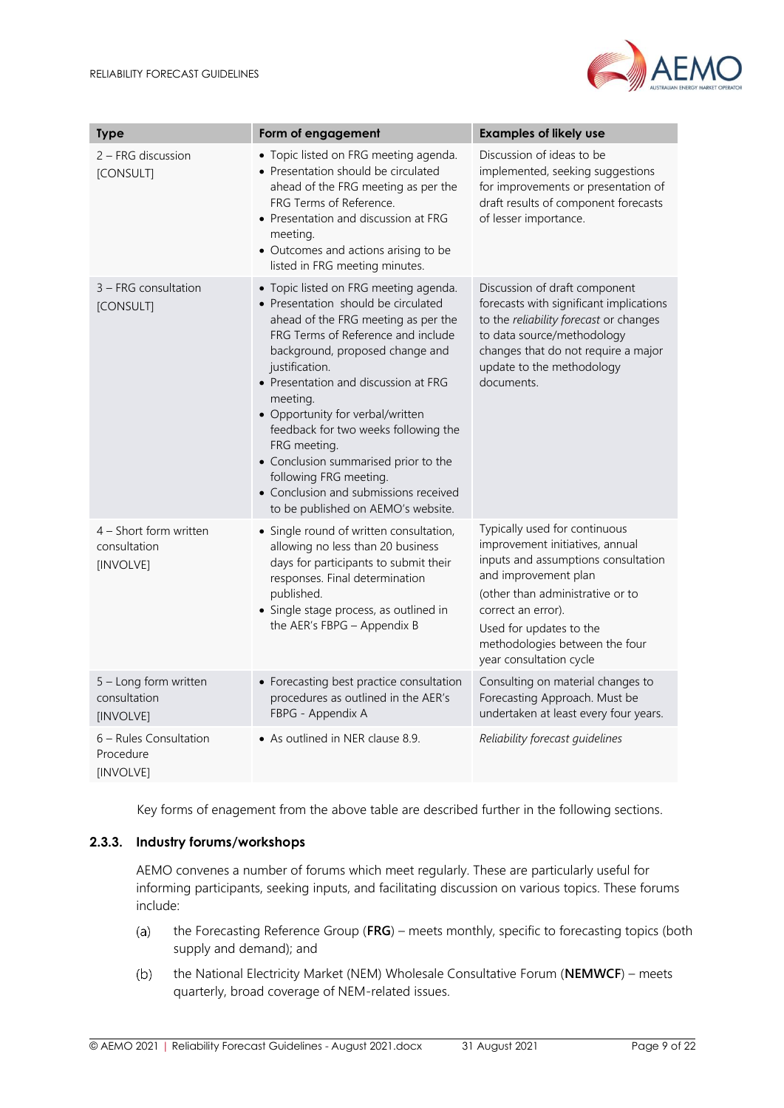

| <b>Type</b>                                         | Form of engagement                                                                                                                                                                                                                                                                                                                                                                                                                                                                                              | <b>Examples of likely use</b>                                                                                                                                                                                                                                                     |
|-----------------------------------------------------|-----------------------------------------------------------------------------------------------------------------------------------------------------------------------------------------------------------------------------------------------------------------------------------------------------------------------------------------------------------------------------------------------------------------------------------------------------------------------------------------------------------------|-----------------------------------------------------------------------------------------------------------------------------------------------------------------------------------------------------------------------------------------------------------------------------------|
| 2 – FRG discussion<br>[CONSULT]                     | • Topic listed on FRG meeting agenda.<br>• Presentation should be circulated<br>ahead of the FRG meeting as per the<br>FRG Terms of Reference.<br>• Presentation and discussion at FRG<br>meeting.<br>• Outcomes and actions arising to be<br>listed in FRG meeting minutes.                                                                                                                                                                                                                                    | Discussion of ideas to be<br>implemented, seeking suggestions<br>for improvements or presentation of<br>draft results of component forecasts<br>of lesser importance.                                                                                                             |
| 3 - FRG consultation<br>[CONSULT]                   | • Topic listed on FRG meeting agenda.<br>• Presentation should be circulated<br>ahead of the FRG meeting as per the<br>FRG Terms of Reference and include<br>background, proposed change and<br>justification.<br>• Presentation and discussion at FRG<br>meeting.<br>• Opportunity for verbal/written<br>feedback for two weeks following the<br>FRG meeting.<br>• Conclusion summarised prior to the<br>following FRG meeting.<br>• Conclusion and submissions received<br>to be published on AEMO's website. | Discussion of draft component<br>forecasts with significant implications<br>to the reliability forecast or changes<br>to data source/methodology<br>changes that do not require a major<br>update to the methodology<br>documents.                                                |
| 4 - Short form written<br>consultation<br>[INVOLVE] | • Single round of written consultation,<br>allowing no less than 20 business<br>days for participants to submit their<br>responses. Final determination<br>published.<br>• Single stage process, as outlined in<br>the AER's FBPG - Appendix B                                                                                                                                                                                                                                                                  | Typically used for continuous<br>improvement initiatives, annual<br>inputs and assumptions consultation<br>and improvement plan<br>(other than administrative or to<br>correct an error).<br>Used for updates to the<br>methodologies between the four<br>year consultation cycle |
| 5 - Long form written<br>consultation<br>[INVOLVE]  | • Forecasting best practice consultation<br>procedures as outlined in the AER's<br>FBPG - Appendix A                                                                                                                                                                                                                                                                                                                                                                                                            | Consulting on material changes to<br>Forecasting Approach. Must be<br>undertaken at least every four years.                                                                                                                                                                       |
| 6 - Rules Consultation<br>Procedure<br>[INVOLVE]    | • As outlined in NER clause 8.9.                                                                                                                                                                                                                                                                                                                                                                                                                                                                                | Reliability forecast guidelines                                                                                                                                                                                                                                                   |

Key forms of enagement from the above table are described further in the following sections.

#### **2.3.3. Industry forums/workshops**

AEMO convenes a number of forums which meet regularly. These are particularly useful for informing participants, seeking inputs, and facilitating discussion on various topics. These forums include:

- $(a)$ the Forecasting Reference Group (**FRG**) – meets monthly, specific to forecasting topics (both supply and demand); and
- $(b)$ the National Electricity Market (NEM) Wholesale Consultative Forum (**NEMWCF**) – meets quarterly, broad coverage of NEM-related issues.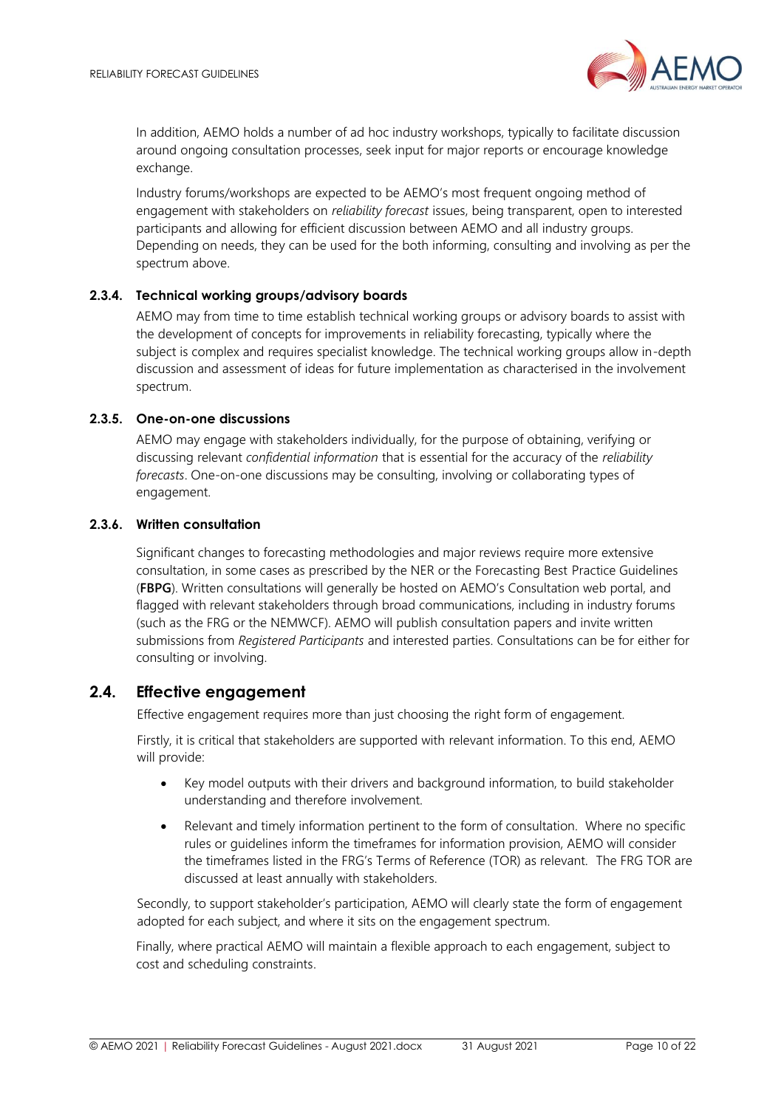

In addition, AEMO holds a number of ad hoc industry workshops, typically to facilitate discussion around ongoing consultation processes, seek input for major reports or encourage knowledge exchange.

Industry forums/workshops are expected to be AEMO's most frequent ongoing method of engagement with stakeholders on *reliability forecast* issues, being transparent, open to interested participants and allowing for efficient discussion between AEMO and all industry groups. Depending on needs, they can be used for the both informing, consulting and involving as per the spectrum above.

#### **2.3.4. Technical working groups/advisory boards**

AEMO may from time to time establish technical working groups or advisory boards to assist with the development of concepts for improvements in reliability forecasting, typically where the subject is complex and requires specialist knowledge. The technical working groups allow in-depth discussion and assessment of ideas for future implementation as characterised in the involvement spectrum.

#### **2.3.5. One-on-one discussions**

AEMO may engage with stakeholders individually, for the purpose of obtaining, verifying or discussing relevant *confidential information* that is essential for the accuracy of the *reliability forecasts*. One-on-one discussions may be consulting, involving or collaborating types of engagement.

#### **2.3.6. Written consultation**

Significant changes to forecasting methodologies and major reviews require more extensive consultation, in some cases as prescribed by the NER or the Forecasting Best Practice Guidelines (**FBPG**). Written consultations will generally be hosted on AEMO's Consultation web portal, and flagged with relevant stakeholders through broad communications, including in industry forums (such as the FRG or the NEMWCF). AEMO will publish consultation papers and invite written submissions from *Registered Participants* and interested parties. Consultations can be for either for consulting or involving.

# <span id="page-9-0"></span>**2.4. Effective engagement**

Effective engagement requires more than just choosing the right form of engagement.

Firstly, it is critical that stakeholders are supported with relevant information. To this end, AEMO will provide:

- Key model outputs with their drivers and background information, to build stakeholder understanding and therefore involvement.
- Relevant and timely information pertinent to the form of consultation. Where no specific rules or guidelines inform the timeframes for information provision, AEMO will consider the timeframes listed in the FRG's Terms of Reference (TOR) as relevant. The FRG TOR are discussed at least annually with stakeholders.

Secondly, to support stakeholder's participation, AEMO will clearly state the form of engagement adopted for each subject, and where it sits on the engagement spectrum.

Finally, where practical AEMO will maintain a flexible approach to each engagement, subject to cost and scheduling constraints.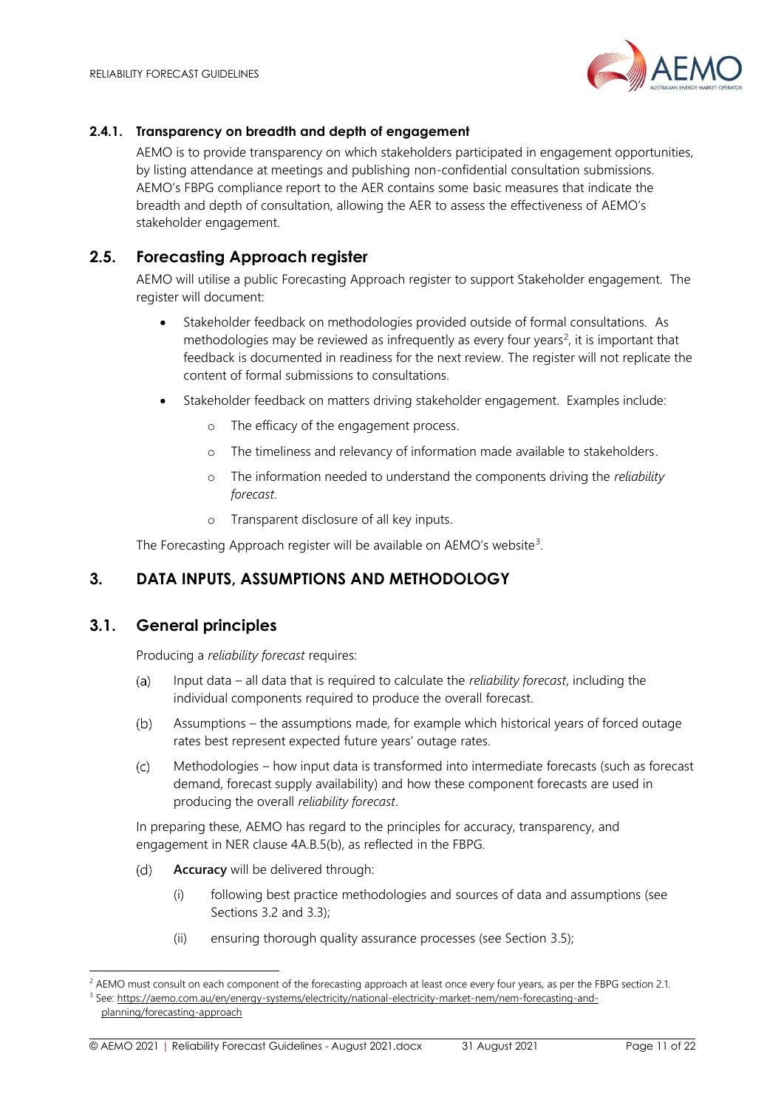

#### **2.4.1. Transparency on breadth and depth of engagement**

AEMO is to provide transparency on which stakeholders participated in engagement opportunities, by listing attendance at meetings and publishing non-confidential consultation submissions. AEMO's FBPG compliance report to the AER contains some basic measures that indicate the breadth and depth of consultation, allowing the AER to assess the effectiveness of AEMO's stakeholder engagement.

# <span id="page-10-0"></span>**2.5. Forecasting Approach register**

AEMO will utilise a public Forecasting Approach register to support Stakeholder engagement. The register will document:

- Stakeholder feedback on methodologies provided outside of formal consultations. As methodologies may be reviewed as infrequently as every four years<sup>2</sup>, it is important that feedback is documented in readiness for the next review. The register will not replicate the content of formal submissions to consultations.
- Stakeholder feedback on matters driving stakeholder engagement. Examples include:
	- o The efficacy of the engagement process.
	- o The timeliness and relevancy of information made available to stakeholders.
	- o The information needed to understand the components driving the *reliability forecast*.
	- o Transparent disclosure of all key inputs.

The Forecasting Approach register will be available on AEMO's website<sup>3</sup>.

# <span id="page-10-1"></span>**3. DATA INPUTS, ASSUMPTIONS AND METHODOLOGY**

# <span id="page-10-2"></span>**3.1. General principles**

Producing a *reliability forecast* requires:

- Input data all data that is required to calculate the *reliability forecast*, including the  $(a)$ individual components required to produce the overall forecast.
- Assumptions the assumptions made, for example which historical years of forced outage  $(b)$ rates best represent expected future years' outage rates.
- Methodologies how input data is transformed into intermediate forecasts (such as forecast  $(c)$ demand, forecast supply availability) and how these component forecasts are used in producing the overall *reliability forecast*.

In preparing these, AEMO has regard to the principles for accuracy, transparency, and engagement in NER clause 4A.B.5(b), as reflected in the FBPG.

- $(d)$ **Accuracy** will be delivered through:
	- (i) following best practice methodologies and sources of data and assumptions (see Sections [3.2](#page-11-0) and [3.3\)](#page-12-0);
	- (ii) ensuring thorough quality assurance processes (see Section [3.5\)](#page-14-1);

© AEMO 2021 | Reliability Forecast Guidelines - August 2021.docx 31 August 2021 Page 11 of 22

<sup>&</sup>lt;sup>2</sup> AEMO must consult on each component of the forecasting approach at least once every four years, as per the FBPG section 2.1. <sup>3</sup> See: [https://aemo.com.au/en/energy-systems/electricity/national-electricity-market-nem/nem-forecasting-and-](https://aemo.com.au/en/energy-systems/electricity/national-electricity-market-nem/nem-forecasting-and-planning/forecasting-approach)

[planning/forecasting-approach](https://aemo.com.au/en/energy-systems/electricity/national-electricity-market-nem/nem-forecasting-and-planning/forecasting-approach)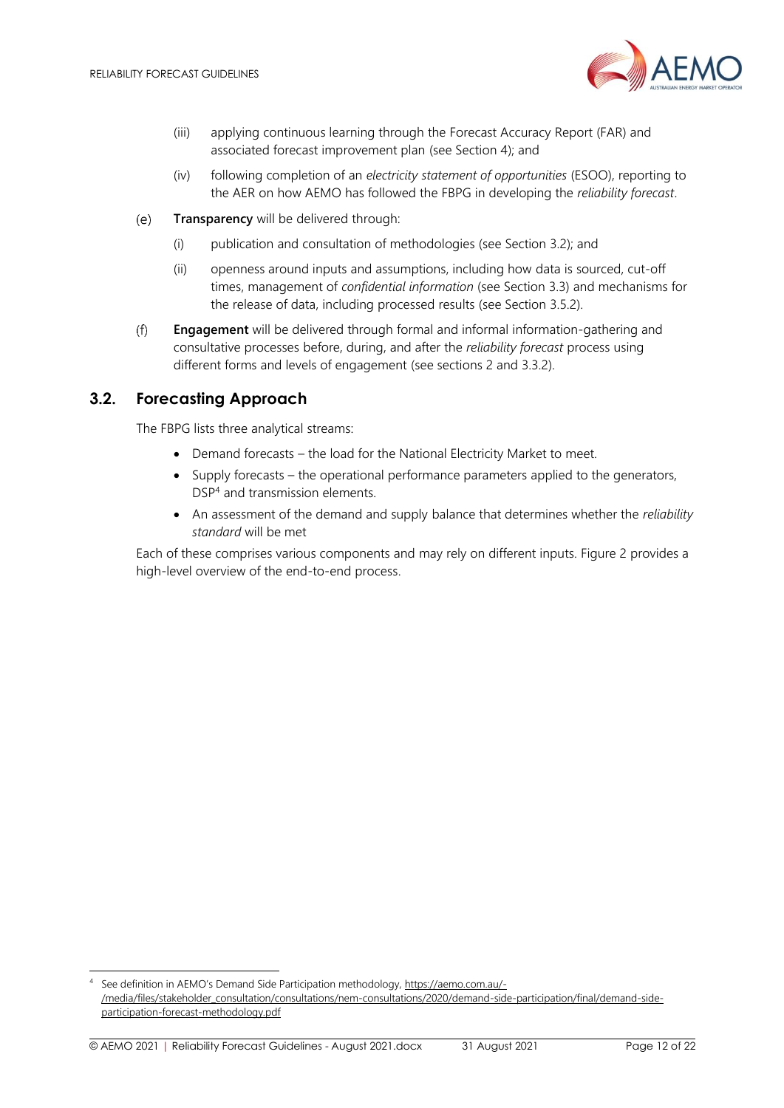

- (iii) applying continuous learning through the Forecast Accuracy Report (FAR) and associated forecast improvement plan (see Section [4\)](#page-16-0); and
- (iv) following completion of an *electricity statement of opportunities* (ESOO), reporting to the AER on how AEMO has followed the FBPG in developing the *reliability forecast*.
- **Transparency** will be delivered through:  $(e)$ 
	- (i) publication and consultation of methodologies (see Section [3.2\)](#page-11-0); and
	- (ii) openness around inputs and assumptions, including how data is sourced, cut-off times, management of *confidential information* (see Section [3.3\)](#page-12-0) and mechanisms for the release of data, including processed results (see Section [3.5.2\)](#page-15-0).
- $(f)$ **Engagement** will be delivered through formal and informal information-gathering and consultative processes before, during, and after the *reliability forecast* process using different forms and levels of engagement (see sections [2](#page-5-0) and [3.3.2\)](#page-13-0).

# <span id="page-11-0"></span>**3.2. Forecasting Approach**

The FBPG lists three analytical streams:

- Demand forecasts the load for the National Electricity Market to meet.
- Supply forecasts the operational performance parameters applied to the generators, DSP<sup>4</sup> and transmission elements.
- An assessment of the demand and supply balance that determines whether the *reliability standard* will be met

Each of these comprises various components and may rely on different inputs. [Figure 2](#page-12-1) provides a high-level overview of the end-to-end process.

See definition in AEMO's Demand Side Participation methodology, [https://aemo.com.au/-](https://aemo.com.au/-/media/files/stakeholder_consultation/consultations/nem-consultations/2020/demand-side-participation/final/demand-side-participation-forecast-methodology.pdf) [/media/files/stakeholder\\_consultation/consultations/nem-consultations/2020/demand-side-participation/final/demand-side](https://aemo.com.au/-/media/files/stakeholder_consultation/consultations/nem-consultations/2020/demand-side-participation/final/demand-side-participation-forecast-methodology.pdf)[participation-forecast-methodology.pdf](https://aemo.com.au/-/media/files/stakeholder_consultation/consultations/nem-consultations/2020/demand-side-participation/final/demand-side-participation-forecast-methodology.pdf)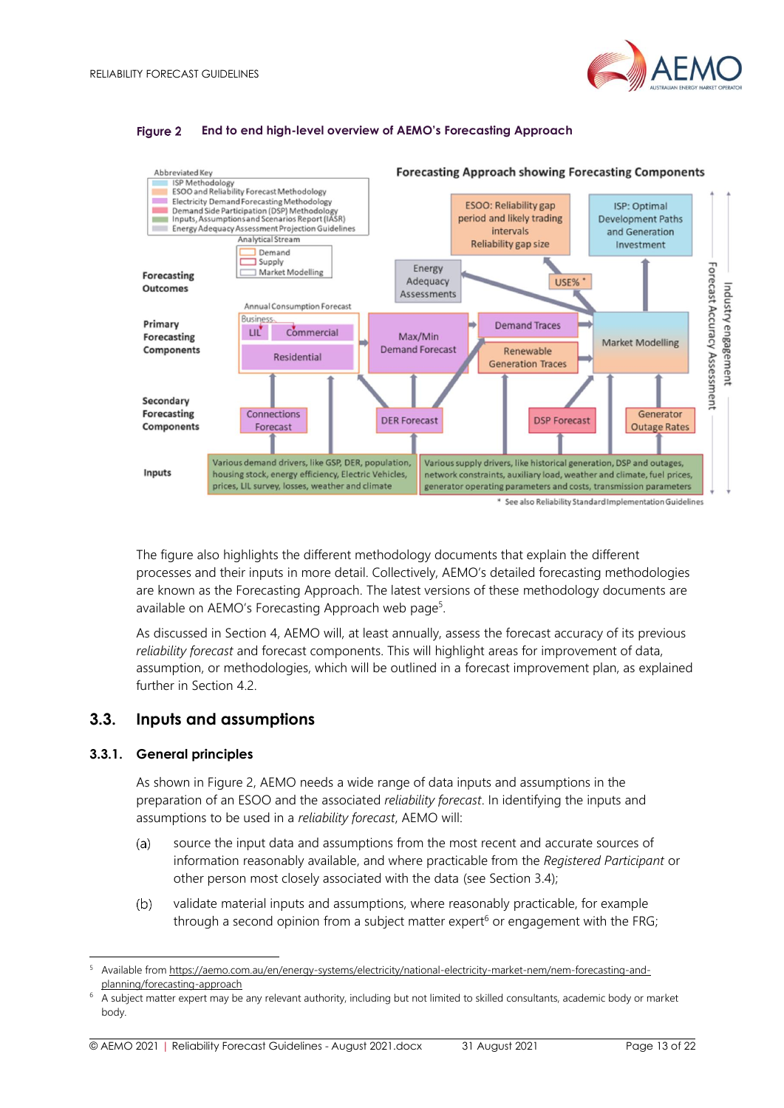

#### **Figure 2 End to end high-level overview of AEMO's Forecasting Approach**

<span id="page-12-1"></span>

The figure also highlights the different methodology documents that explain the different processes and their inputs in more detail. Collectively, AEMO's detailed forecasting methodologies are known as the Forecasting Approach. The latest versions of these methodology documents are available on AEMO's Forecasting Approach web page<sup>5</sup>.

As discussed in Section [4,](#page-16-0) AEMO will, at least annually, assess the forecast accuracy of its previous *reliability forecast* and forecast components. This will highlight areas for improvement of data, assumption, or methodologies, which will be outlined in a forecast improvement plan, as explained further in Section [4.2.](#page-17-1)

# <span id="page-12-0"></span>**3.3. Inputs and assumptions**

#### <span id="page-12-2"></span>**3.3.1. General principles**

As shown in [Figure 2,](#page-12-1) AEMO needs a wide range of data inputs and assumptions in the preparation of an ESOO and the associated *reliability forecast*. In identifying the inputs and assumptions to be used in a *reliability forecast*, AEMO will:

- source the input data and assumptions from the most recent and accurate sources of  $(a)$ information reasonably available, and where practicable from the *Registered Participant* or other person most closely associated with the data (see Section [3.4\)](#page-14-0);
- $(b)$ validate material inputs and assumptions, where reasonably practicable, for example through a second opinion from a subject matter expert<sup>6</sup> or engagement with the FRG;

<sup>5</sup> Available fro[m https://aemo.com.au/en/energy-systems/electricity/national-electricity-market-nem/nem-forecasting-and](https://aemo.com.au/en/energy-systems/electricity/national-electricity-market-nem/nem-forecasting-and-planning/forecasting-approach)[planning/forecasting-approach](https://aemo.com.au/en/energy-systems/electricity/national-electricity-market-nem/nem-forecasting-and-planning/forecasting-approach)

<sup>6</sup> A subject matter expert may be any relevant authority, including but not limited to skilled consultants, academic body or market body.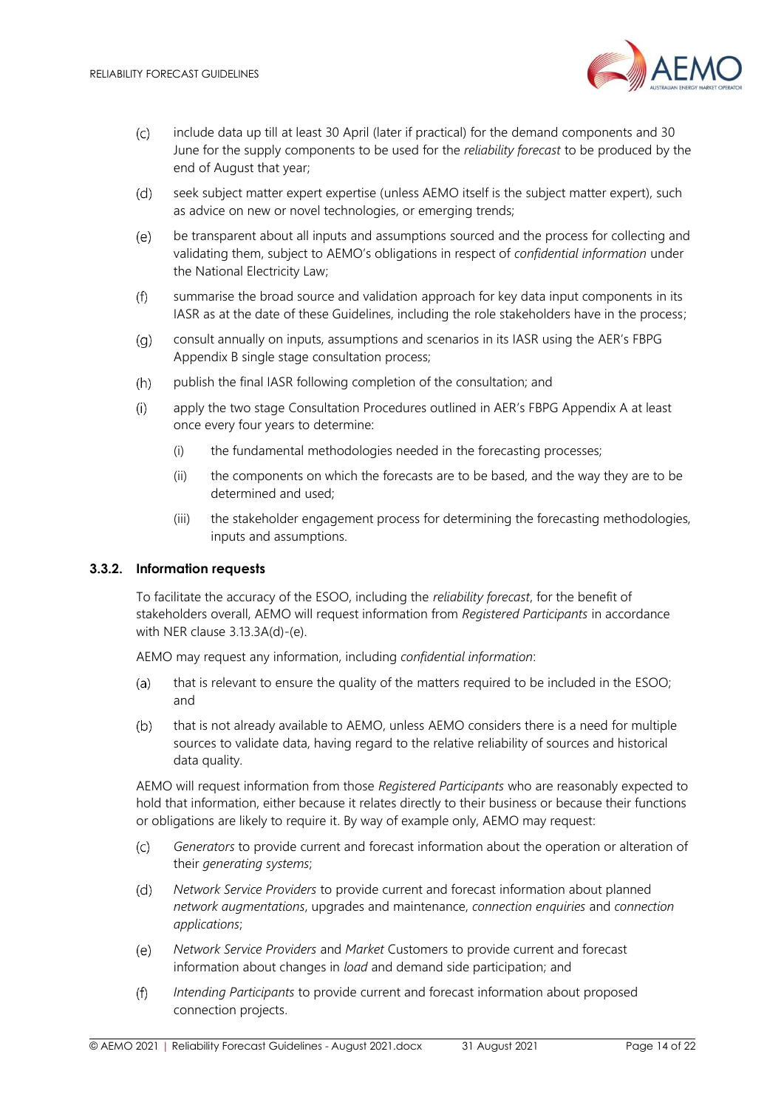

- include data up till at least 30 April (later if practical) for the demand components and 30  $(C)$ June for the supply components to be used for the *reliability forecast* to be produced by the end of August that year;
- $(d)$ seek subject matter expert expertise (unless AEMO itself is the subject matter expert), such as advice on new or novel technologies, or emerging trends;
- $(e)$ be transparent about all inputs and assumptions sourced and the process for collecting and validating them, subject to AEMO's obligations in respect of *confidential information* under the National Electricity Law;
- summarise the broad source and validation approach for key data input components in its  $(f)$ IASR as at the date of these Guidelines, including the role stakeholders have in the process;
- $(a)$ consult annually on inputs, assumptions and scenarios in its IASR using the AER's FBPG Appendix B single stage consultation process;
- $(h)$ publish the final IASR following completion of the consultation; and
- $(i)$ apply the two stage Consultation Procedures outlined in AER's FBPG Appendix A at least once every four years to determine:
	- (i) the fundamental methodologies needed in the forecasting processes;
	- (ii) the components on which the forecasts are to be based, and the way they are to be determined and used;
	- (iii) the stakeholder engagement process for determining the forecasting methodologies, inputs and assumptions.

#### <span id="page-13-0"></span>**3.3.2. Information requests**

To facilitate the accuracy of the ESOO, including the *reliability forecast*, for the benefit of stakeholders overall, AEMO will request information from *Registered Participants* in accordance with NER clause 3.13.3A(d)-(e).

AEMO may request any information, including *confidential information*:

- $(a)$ that is relevant to ensure the quality of the matters required to be included in the ESOO; and
- $(b)$ that is not already available to AEMO, unless AEMO considers there is a need for multiple sources to validate data, having regard to the relative reliability of sources and historical data quality.

AEMO will request information from those *Registered Participants* who are reasonably expected to hold that information, either because it relates directly to their business or because their functions or obligations are likely to require it. By way of example only, AEMO may request:

- $(c)$ *Generators* to provide current and forecast information about the operation or alteration of their *generating systems*;
- *Network Service Providers* to provide current and forecast information about planned  $(d)$ *network augmentations*, upgrades and maintenance, *connection enquiries* and *connection applications*;
- $(e)$ *Network Service Providers* and *Market* Customers to provide current and forecast information about changes in *load* and demand side participation; and
- $(f)$ *Intending Participants* to provide current and forecast information about proposed connection projects.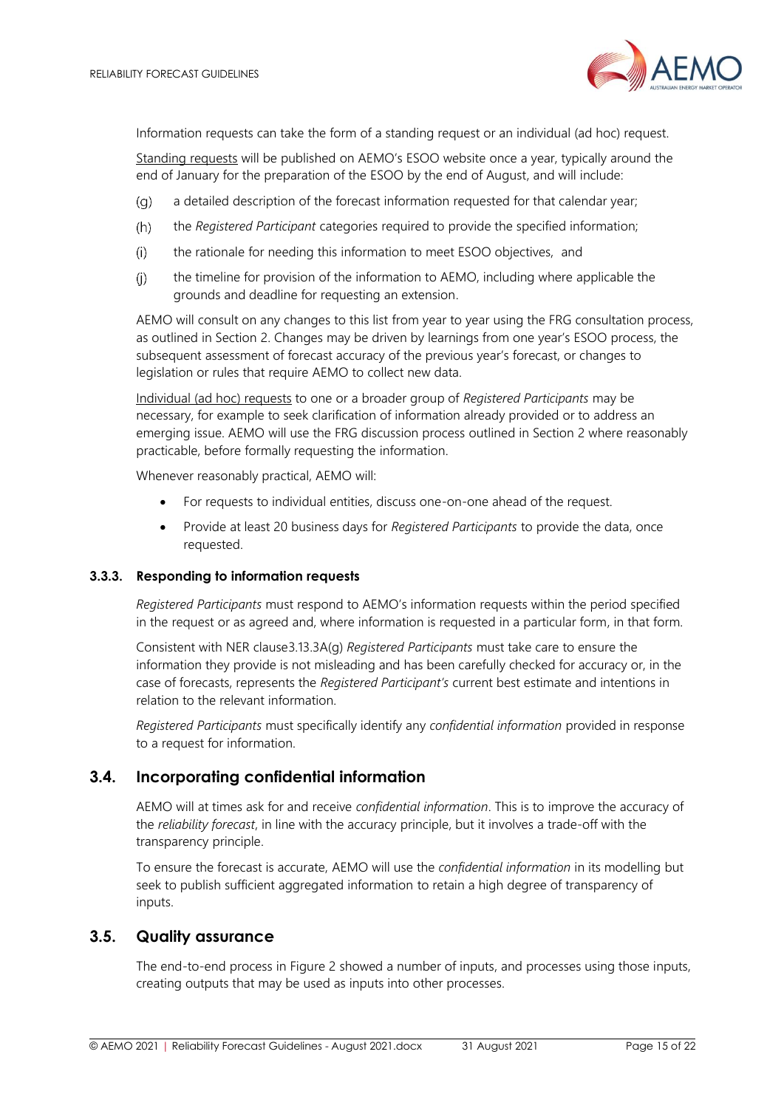

Information requests can take the form of a standing request or an individual (ad hoc) request.

Standing requests will be published on AEMO's ESOO website once a year, typically around the end of January for the preparation of the ESOO by the end of August, and will include:

- a detailed description of the forecast information requested for that calendar year;  $(q)$
- $(h)$ the *Registered Participant* categories required to provide the specified information;
- the rationale for needing this information to meet ESOO objectives, and  $(i)$
- $(i)$ the timeline for provision of the information to AEMO, including where applicable the grounds and deadline for requesting an extension.

AEMO will consult on any changes to this list from year to year using the FRG consultation process, as outlined in Section [2](#page-5-0). Changes may be driven by learnings from one year's ESOO process, the subsequent assessment of forecast accuracy of the previous year's forecast, or changes to legislation or rules that require AEMO to collect new data.

Individual (ad hoc) requests to one or a broader group of *Registered Participants* may be necessary, for example to seek clarification of information already provided or to address an emerging issue. AEMO will use the FRG discussion process outlined in Section [2](#page-5-0) where reasonably practicable, before formally requesting the information.

Whenever reasonably practical, AEMO will:

- For requests to individual entities, discuss one-on-one ahead of the request.
- Provide at least 20 business days for *Registered Participants* to provide the data, once requested.

#### **3.3.3. Responding to information requests**

*Registered Participants* must respond to AEMO's information requests within the period specified in the request or as agreed and, where information is requested in a particular form, in that form.

Consistent with NER clause3.13.3A(g) *Registered Participants* must take care to ensure the information they provide is not misleading and has been carefully checked for accuracy or, in the case of forecasts, represents the *Registered Participant's* current best estimate and intentions in relation to the relevant information.

*Registered Participants* must specifically identify any *confidential information* provided in response to a request for information.

# <span id="page-14-0"></span>**3.4. Incorporating confidential information**

AEMO will at times ask for and receive *confidential information*. This is to improve the accuracy of the *reliability forecast*, in line with the accuracy principle, but it involves a trade-off with the transparency principle.

To ensure the forecast is accurate, AEMO will use the *confidential information* in its modelling but seek to publish sufficient aggregated information to retain a high degree of transparency of inputs.

# <span id="page-14-1"></span>**3.5. Quality assurance**

The end-to-end process in [Figure 2](#page-12-1) showed a number of inputs, and processes using those inputs, creating outputs that may be used as inputs into other processes.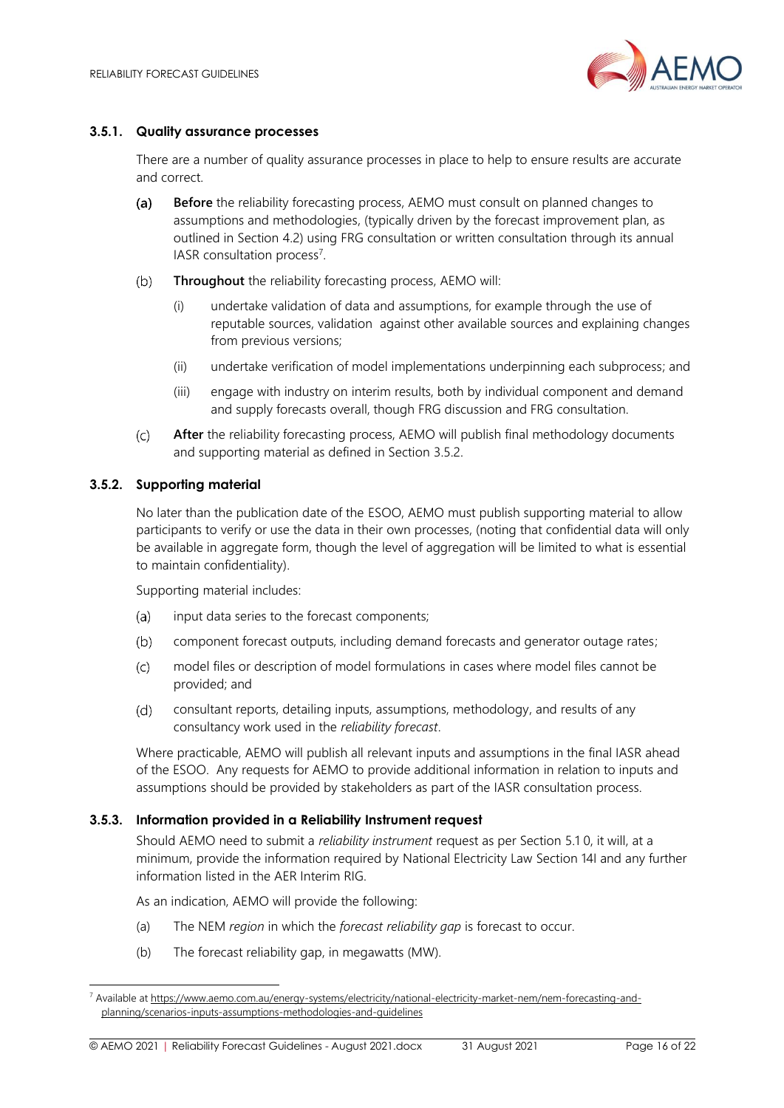

#### <span id="page-15-1"></span>**3.5.1. Quality assurance processes**

There are a number of quality assurance processes in place to help to ensure results are accurate and correct.

- $(a)$ **Before** the reliability forecasting process, AEMO must consult on planned changes to assumptions and methodologies, (typically driven by the forecast improvement plan, as outlined in Section [4.2\)](#page-17-1) using FRG consultation or written consultation through its annual IASR consultation process<sup>7</sup>.
- $(b)$ **Throughout** the reliability forecasting process, AEMO will:
	- (i) undertake validation of data and assumptions, for example through the use of reputable sources, validation against other available sources and explaining changes from previous versions;
	- (ii) undertake verification of model implementations underpinning each subprocess; and
	- (iii) engage with industry on interim results, both by individual component and demand and supply forecasts overall, though FRG discussion and FRG consultation.
- $(c)$ **After** the reliability forecasting process, AEMO will publish final methodology documents and supporting material as defined in Section [3.5.2.](#page-15-0)

#### <span id="page-15-0"></span>**3.5.2. Supporting material**

No later than the publication date of the ESOO, AEMO must publish supporting material to allow participants to verify or use the data in their own processes, (noting that confidential data will only be available in aggregate form, though the level of aggregation will be limited to what is essential to maintain confidentiality).

Supporting material includes:

- input data series to the forecast components;  $(a)$
- $(b)$ component forecast outputs, including demand forecasts and generator outage rates;
- $(c)$ model files or description of model formulations in cases where model files cannot be provided; and
- consultant reports, detailing inputs, assumptions, methodology, and results of any  $(d)$ consultancy work used in the *reliability forecast*.

Where practicable, AEMO will publish all relevant inputs and assumptions in the final IASR ahead of the ESOO. Any requests for AEMO to provide additional information in relation to inputs and assumptions should be provided by stakeholders as part of the IASR consultation process.

#### <span id="page-15-2"></span>**3.5.3. Information provided in a Reliability Instrument request**

Should AEMO need to submit a *reliability instrument* request as per Section [5.1](#page-18-1) [0,](#page-18-3) it will, at a minimum, provide the information required by National Electricity Law Section 14I and any further information listed in the AER Interim RIG.

As an indication, AEMO will provide the following:

- (a) The NEM *region* in which the *forecast reliability gap* is forecast to occur.
- (b) The forecast reliability gap, in megawatts (MW).

<sup>7</sup> Available a[t https://www.aemo.com.au/energy-systems/electricity/national-electricity-market-nem/nem-forecasting-and](https://www.aemo.com.au/energy-systems/electricity/national-electricity-market-nem/nem-forecasting-and-planning/scenarios-inputs-assumptions-methodologies-and-guidelines)[planning/scenarios-inputs-assumptions-methodologies-and-guidelines](https://www.aemo.com.au/energy-systems/electricity/national-electricity-market-nem/nem-forecasting-and-planning/scenarios-inputs-assumptions-methodologies-and-guidelines)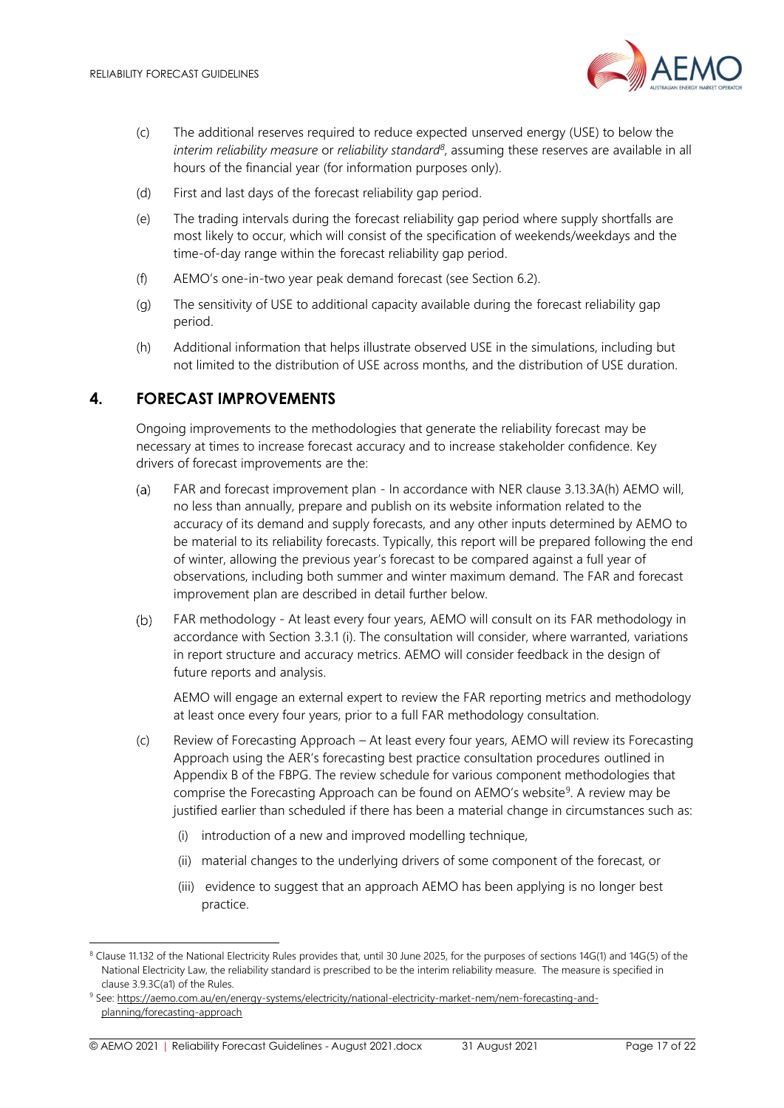

- (c) The additional reserves required to reduce expected unserved energy (USE) to below the *interim reliability measure* or *reliability standard<sup>8</sup>* , assuming these reserves are available in all hours of the financial year (for information purposes only).
- (d) First and last days of the forecast reliability gap period.
- (e) The trading intervals during the forecast reliability gap period where supply shortfalls are most likely to occur, which will consist of the specification of weekends/weekdays and the time-of-day range within the forecast reliability gap period.
- (f) AEMO's one-in-two year peak demand forecast (see Section 6.2).
- (g) The sensitivity of USE to additional capacity available during the forecast reliability gap period.
- (h) Additional information that helps illustrate observed USE in the simulations, including but not limited to the distribution of USE across months, and the distribution of USE duration.

# <span id="page-16-0"></span>**4. FORECAST IMPROVEMENTS**

Ongoing improvements to the methodologies that generate the reliability forecast may be necessary at times to increase forecast accuracy and to increase stakeholder confidence. Key drivers of forecast improvements are the:

- $(a)$ FAR and forecast improvement plan - In accordance with NER clause 3.13.3A(h) AEMO will, no less than annually, prepare and publish on its website information related to the accuracy of its demand and supply forecasts, and any other inputs determined by AEMO to be material to its reliability forecasts. Typically, this report will be prepared following the end of winter, allowing the previous year's forecast to be compared against a full year of observations, including both summer and winter maximum demand. The FAR and forecast improvement plan are described in detail further below.
- $(b)$ FAR methodology - At least every four years, AEMO will consult on its FAR methodology in accordance with Section [3.3.1](#page-12-2) (i). The consultation will consider, where warranted, variations in report structure and accuracy metrics. AEMO will consider feedback in the design of future reports and analysis.

AEMO will engage an external expert to review the FAR reporting metrics and methodology at least once every four years, prior to a full FAR methodology consultation.

- (c) Review of Forecasting Approach At least every four years, AEMO will review its Forecasting Approach using the AER's forecasting best practice consultation procedures outlined in Appendix B of the FBPG. The review schedule for various component methodologies that comprise the Forecasting Approach can be found on AEMO's website<sup>9</sup>. A review may be justified earlier than scheduled if there has been a material change in circumstances such as:
	- (i) introduction of a new and improved modelling technique,
	- (ii) material changes to the underlying drivers of some component of the forecast, or
	- (iii) evidence to suggest that an approach AEMO has been applying is no longer best practice.

<sup>&</sup>lt;sup>8</sup> Clause 11.132 of the National Electricity Rules provides that, until 30 June 2025, for the purposes of sections 14G(1) and 14G(5) of the National Electricity Law, the reliability standard is prescribed to be the interim reliability measure. The measure is specified in clause 3.9.3C(a1) of the Rules.

<sup>9</sup> See: [https://aemo.com.au/en/energy-systems/electricity/national-electricity-market-nem/nem-forecasting-and](https://aemo.com.au/en/energy-systems/electricity/national-electricity-market-nem/nem-forecasting-and-planning/forecasting-approach)[planning/forecasting-approach](https://aemo.com.au/en/energy-systems/electricity/national-electricity-market-nem/nem-forecasting-and-planning/forecasting-approach)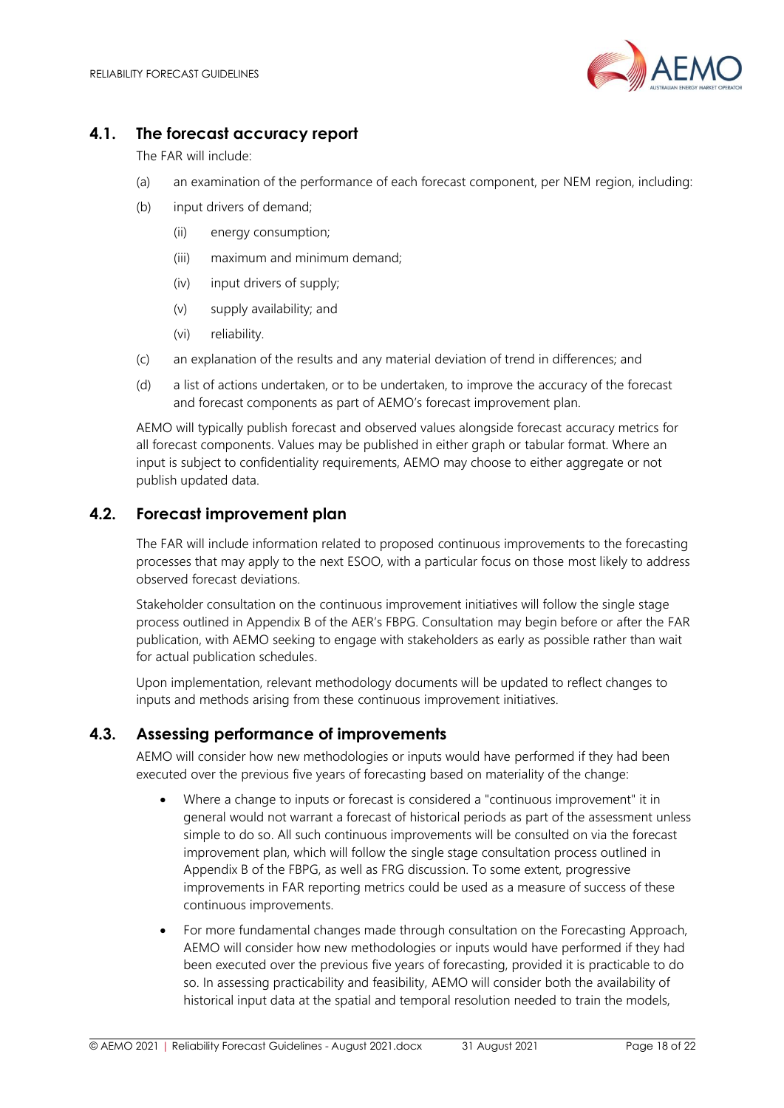

# <span id="page-17-0"></span>**4.1. The forecast accuracy report**

The FAR will include:

- (a) an examination of the performance of each forecast component, per NEM region, including:
- (b) input drivers of demand;
	- (ii) energy consumption;
	- (iii) maximum and minimum demand;
	- (iv) input drivers of supply;
	- (v) supply availability; and
	- (vi) reliability.
- (c) an explanation of the results and any material deviation of trend in differences; and
- (d) a list of actions undertaken, or to be undertaken, to improve the accuracy of the forecast and forecast components as part of AEMO's forecast improvement plan.

AEMO will typically publish forecast and observed values alongside forecast accuracy metrics for all forecast components. Values may be published in either graph or tabular format. Where an input is subject to confidentiality requirements, AEMO may choose to either aggregate or not publish updated data.

# <span id="page-17-1"></span>**4.2. Forecast improvement plan**

The FAR will include information related to proposed continuous improvements to the forecasting processes that may apply to the next ESOO, with a particular focus on those most likely to address observed forecast deviations.

Stakeholder consultation on the continuous improvement initiatives will follow the single stage process outlined in Appendix B of the AER's FBPG. Consultation may begin before or after the FAR publication, with AEMO seeking to engage with stakeholders as early as possible rather than wait for actual publication schedules.

Upon implementation, relevant methodology documents will be updated to reflect changes to inputs and methods arising from these continuous improvement initiatives.

# **4.3. Assessing performance of improvements**

AEMO will consider how new methodologies or inputs would have performed if they had been executed over the previous five years of forecasting based on materiality of the change:

- Where a change to inputs or forecast is considered a "continuous improvement" it in general would not warrant a forecast of historical periods as part of the assessment unless simple to do so. All such continuous improvements will be consulted on via the forecast improvement plan, which will follow the single stage consultation process outlined in Appendix B of the FBPG, as well as FRG discussion. To some extent, progressive improvements in FAR reporting metrics could be used as a measure of success of these continuous improvements.
- For more fundamental changes made through consultation on the Forecasting Approach, AEMO will consider how new methodologies or inputs would have performed if they had been executed over the previous five years of forecasting, provided it is practicable to do so. In assessing practicability and feasibility, AEMO will consider both the availability of historical input data at the spatial and temporal resolution needed to train the models,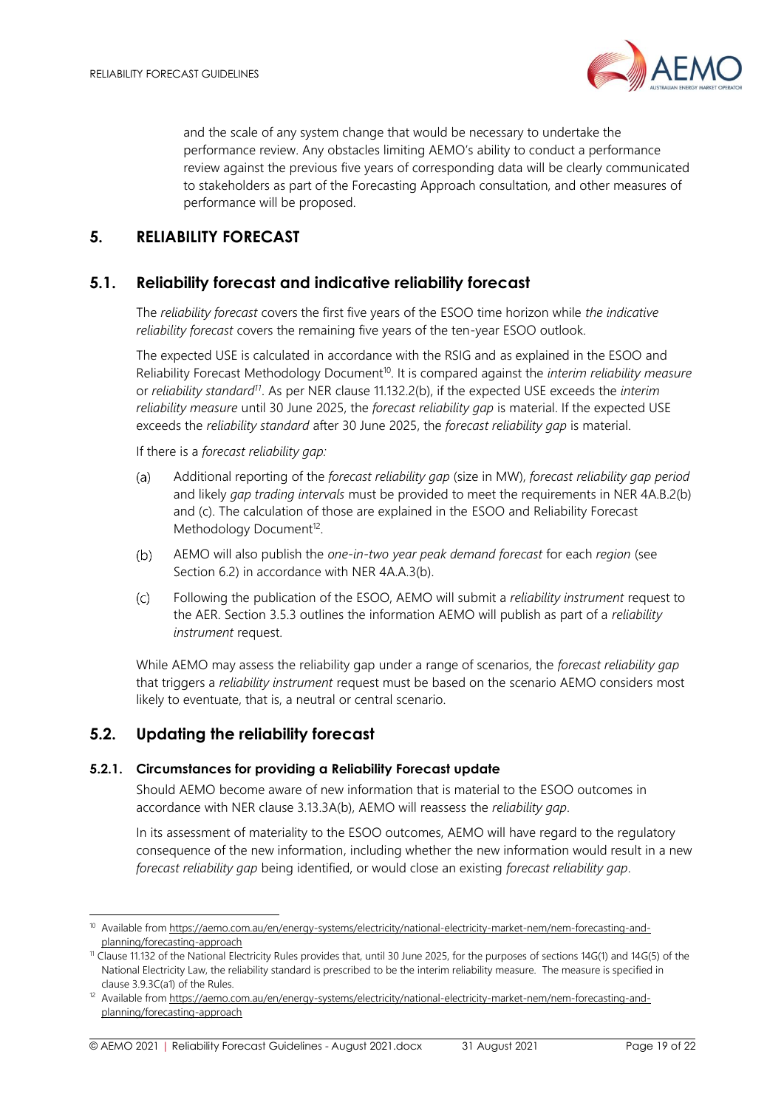

and the scale of any system change that would be necessary to undertake the performance review. Any obstacles limiting AEMO's ability to conduct a performance review against the previous five years of corresponding data will be clearly communicated to stakeholders as part of the Forecasting Approach consultation, and other measures of performance will be proposed.

# <span id="page-18-0"></span>**5. RELIABILITY FORECAST**

# <span id="page-18-1"></span>**5.1. Reliability forecast and indicative reliability forecast**

The *reliability forecast* covers the first five years of the ESOO time horizon while *the indicative reliability forecast* covers the remaining five years of the ten-year ESOO outlook.

The expected USE is calculated in accordance with the RSIG and as explained in the ESOO and Reliability Forecast Methodology Document<sup>10</sup>. It is compared against the *interim reliability measure* or *reliability standard<sup>11</sup>* . As per NER clause 11.132.2(b), if the expected USE exceeds the *interim reliability measure* until 30 June 2025, the *forecast reliability gap* is material. If the expected USE exceeds the *reliability standard* after 30 June 2025, the *forecast reliability gap* is material.

<span id="page-18-3"></span>If there is a *forecast reliability gap:*

- $(a)$ Additional reporting of the *forecast reliability gap* (size in MW), *forecast reliability gap period* and likely *gap trading intervals* must be provided to meet the requirements in NER 4A.B.2(b) and (c). The calculation of those are explained in the ESOO and Reliability Forecast Methodology Document<sup>12</sup>.
- AEMO will also publish the *one-in-two year peak demand forecast* for each *region* (see  $(b)$ Section [6.2\)](#page-20-0) in accordance with NER 4A.A.3(b).
- $(c)$ Following the publication of the ESOO, AEMO will submit a *reliability instrument* request to the AER. Sectio[n 3.5.3](#page-15-2) outlines the information AEMO will publish as part of a *reliability instrument* request.

While AEMO may assess the reliability gap under a range of scenarios, the *forecast reliability gap* that triggers a *reliability instrument* request must be based on the scenario AEMO considers most likely to eventuate, that is, a neutral or central scenario.

# <span id="page-18-2"></span>**5.2. Updating the reliability forecast**

#### **5.2.1. Circumstances for providing a Reliability Forecast update**

Should AEMO become aware of new information that is material to the ESOO outcomes in accordance with NER clause 3.13.3A(b), AEMO will reassess the *reliability gap*.

In its assessment of materiality to the ESOO outcomes, AEMO will have regard to the regulatory consequence of the new information, including whether the new information would result in a new *forecast reliability gap* being identified, or would close an existing *forecast reliability gap*.

<sup>10</sup> Available fro[m https://aemo.com.au/en/energy-systems/electricity/national-electricity-market-nem/nem-forecasting-and](https://aemo.com.au/en/energy-systems/electricity/national-electricity-market-nem/nem-forecasting-and-planning/forecasting-approach)[planning/forecasting-approach](https://aemo.com.au/en/energy-systems/electricity/national-electricity-market-nem/nem-forecasting-and-planning/forecasting-approach)

<sup>&</sup>lt;sup>11</sup> Clause 11.132 of the National Electricity Rules provides that, until 30 June 2025, for the purposes of sections 14G(1) and 14G(5) of the National Electricity Law, the reliability standard is prescribed to be the interim reliability measure. The measure is specified in clause 3.9.3C(a1) of the Rules.

<sup>&</sup>lt;sup>12</sup> Available fro[m https://aemo.com.au/en/energy-systems/electricity/national-electricity-market-nem/nem-forecasting-and](https://aemo.com.au/en/energy-systems/electricity/national-electricity-market-nem/nem-forecasting-and-planning/forecasting-approach)[planning/forecasting-approach](https://aemo.com.au/en/energy-systems/electricity/national-electricity-market-nem/nem-forecasting-and-planning/forecasting-approach)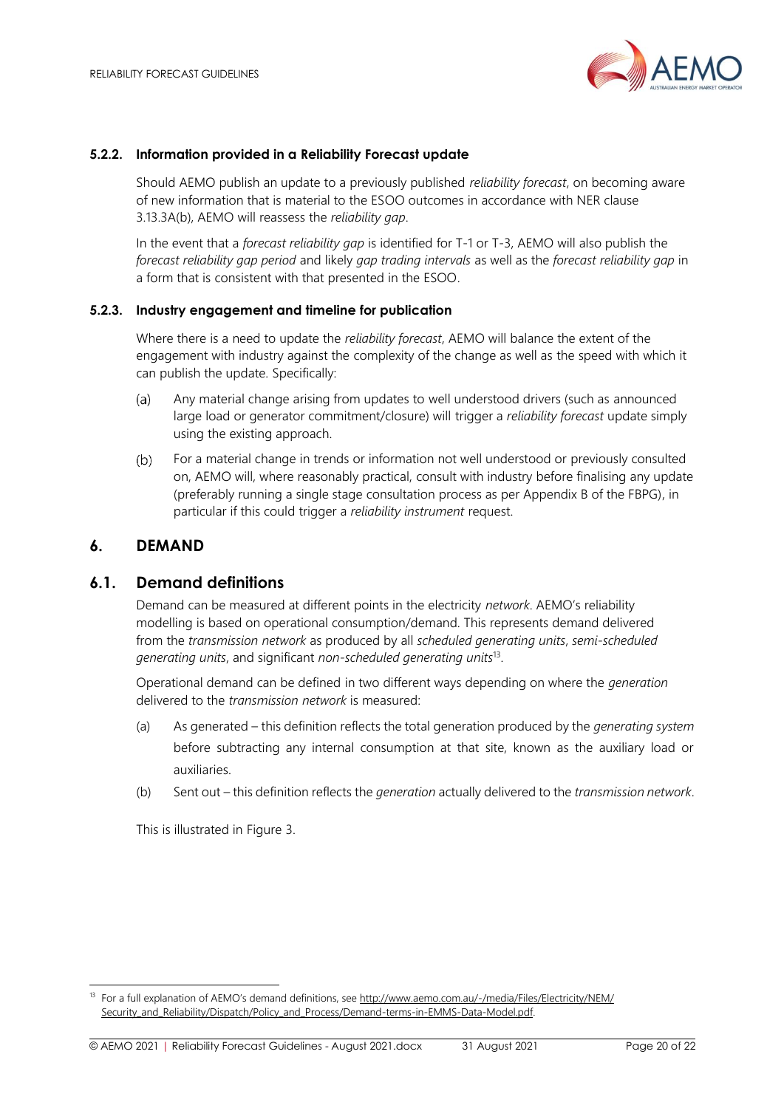

#### **5.2.2. Information provided in a Reliability Forecast update**

Should AEMO publish an update to a previously published *reliability forecast*, on becoming aware of new information that is material to the ESOO outcomes in accordance with NER clause 3.13.3A(b), AEMO will reassess the *reliability gap*.

In the event that a *forecast reliability gap* is identified for T-1 or T-3, AEMO will also publish the *forecast reliability gap period* and likely *gap trading intervals* as well as the *forecast reliability gap* in a form that is consistent with that presented in the ESOO.

#### **5.2.3. Industry engagement and timeline for publication**

Where there is a need to update the *reliability forecast*, AEMO will balance the extent of the engagement with industry against the complexity of the change as well as the speed with which it can publish the update. Specifically:

- Any material change arising from updates to well understood drivers (such as announced  $(a)$ large load or generator commitment/closure) will trigger a *reliability forecast* update simply using the existing approach.
- $(b)$ For a material change in trends or information not well understood or previously consulted on, AEMO will, where reasonably practical, consult with industry before finalising any update (preferably running a single stage consultation process as per Appendix B of the FBPG), in particular if this could trigger a *reliability instrument* request.

#### <span id="page-19-0"></span>**6. DEMAND**

#### <span id="page-19-1"></span>**6.1. Demand definitions**

Demand can be measured at different points in the electricity *network*. AEMO's reliability modelling is based on operational consumption/demand. This represents demand delivered from the *transmission network* as produced by all *scheduled generating units*, *semi-scheduled generating units*, and significant *non-scheduled generating units*<sup>13</sup> .

Operational demand can be defined in two different ways depending on where the *generation* delivered to the *transmission network* is measured:

- (a) As generated this definition reflects the total generation produced by the *generating system* before subtracting any internal consumption at that site, known as the auxiliary load or auxiliaries.
- (b) Sent out this definition reflects the *generation* actually delivered to the *transmission network*.

This is illustrated in [Figure 3.](#page-20-2)

<sup>&</sup>lt;sup>13</sup> For a full explanation of AEMO's demand definitions, see [http://www.aemo.com.au/-/media/Files/Electricity/NEM/](http://www.aemo.com.au/-/media/Files/Electricity/NEM/‌Security_and_Reliability/‌Dispatch/‌Policy_and_Process/Demand-terms-in-EMMS-Data-Model.pdf) [Security\\_and\\_Reliability/Dispatch/Policy\\_and\\_Process/Demand-terms-in-EMMS-Data-Model.pdf.](http://www.aemo.com.au/-/media/Files/Electricity/NEM/‌Security_and_Reliability/‌Dispatch/‌Policy_and_Process/Demand-terms-in-EMMS-Data-Model.pdf)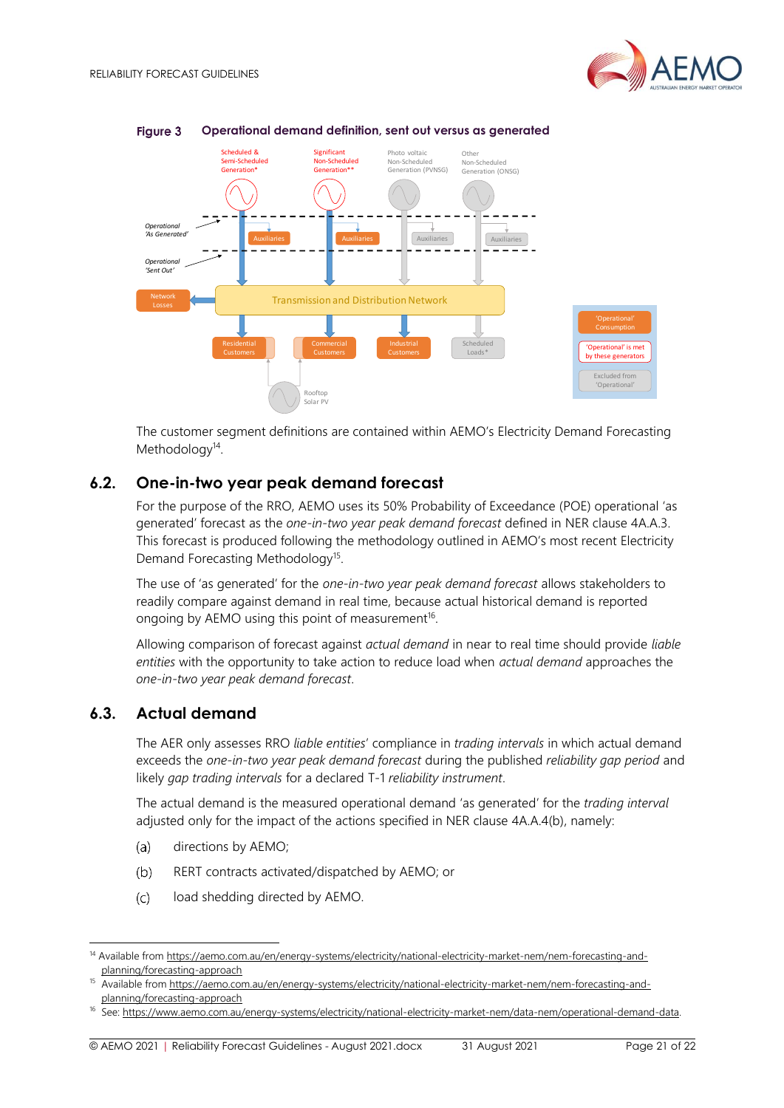

#### <span id="page-20-2"></span>**Figure 3 Operational demand definition, sent out versus as generated**

The customer segment definitions are contained within AEMO's Electricity Demand Forecasting Methodology<sup>14</sup>.

#### <span id="page-20-0"></span>**6.2. One-in-two year peak demand forecast**

For the purpose of the RRO, AEMO uses its 50% Probability of Exceedance (POE) operational 'as generated' forecast as the *one-in-two year peak demand forecast* defined in NER clause 4A.A.3. This forecast is produced following the methodology outlined in AEMO's most recent Electricity Demand Forecasting Methodology<sup>15</sup>.

The use of 'as generated' for the *one-in-two year peak demand forecast* allows stakeholders to readily compare against demand in real time, because actual historical demand is reported ongoing by AEMO using this point of measurement $^{16}$ .

Allowing comparison of forecast against *actual demand* in near to real time should provide *liable entities* with the opportunity to take action to reduce load when *actual demand* approaches the *one-in-two year peak demand forecast*.

# <span id="page-20-1"></span>**6.3. Actual demand**

The AER only assesses RRO *liable entities*' compliance in *trading intervals* in which actual demand exceeds the *one-in-two year peak demand forecast* during the published *reliability gap period* and likely *gap trading intervals* for a declared T-1 *reliability instrument*.

The actual demand is the measured operational demand 'as generated' for the *trading interval* adjusted only for the impact of the actions specified in NER clause 4A.A.4(b), namely:

- $(a)$ directions by AEMO;
- $(b)$ RERT contracts activated/dispatched by AEMO; or
- $(c)$ load shedding directed by AEMO.

<sup>14</sup> Available fro[m https://aemo.com.au/en/energy-systems/electricity/national-electricity-market-nem/nem-forecasting-and](https://aemo.com.au/en/energy-systems/electricity/national-electricity-market-nem/nem-forecasting-and-planning/forecasting-approach)[planning/forecasting-approach](https://aemo.com.au/en/energy-systems/electricity/national-electricity-market-nem/nem-forecasting-and-planning/forecasting-approach)

<sup>15</sup> Available fro[m https://aemo.com.au/en/energy-systems/electricity/national-electricity-market-nem/nem-forecasting-and](https://aemo.com.au/en/energy-systems/electricity/national-electricity-market-nem/nem-forecasting-and-planning/forecasting-approach)[planning/forecasting-approach](https://aemo.com.au/en/energy-systems/electricity/national-electricity-market-nem/nem-forecasting-and-planning/forecasting-approach)

<sup>&</sup>lt;sup>16</sup> See: https://www.aemo.com.au/energy-systems/electricity/national-electricity-market-nem/data-nem/operational-demand-data.